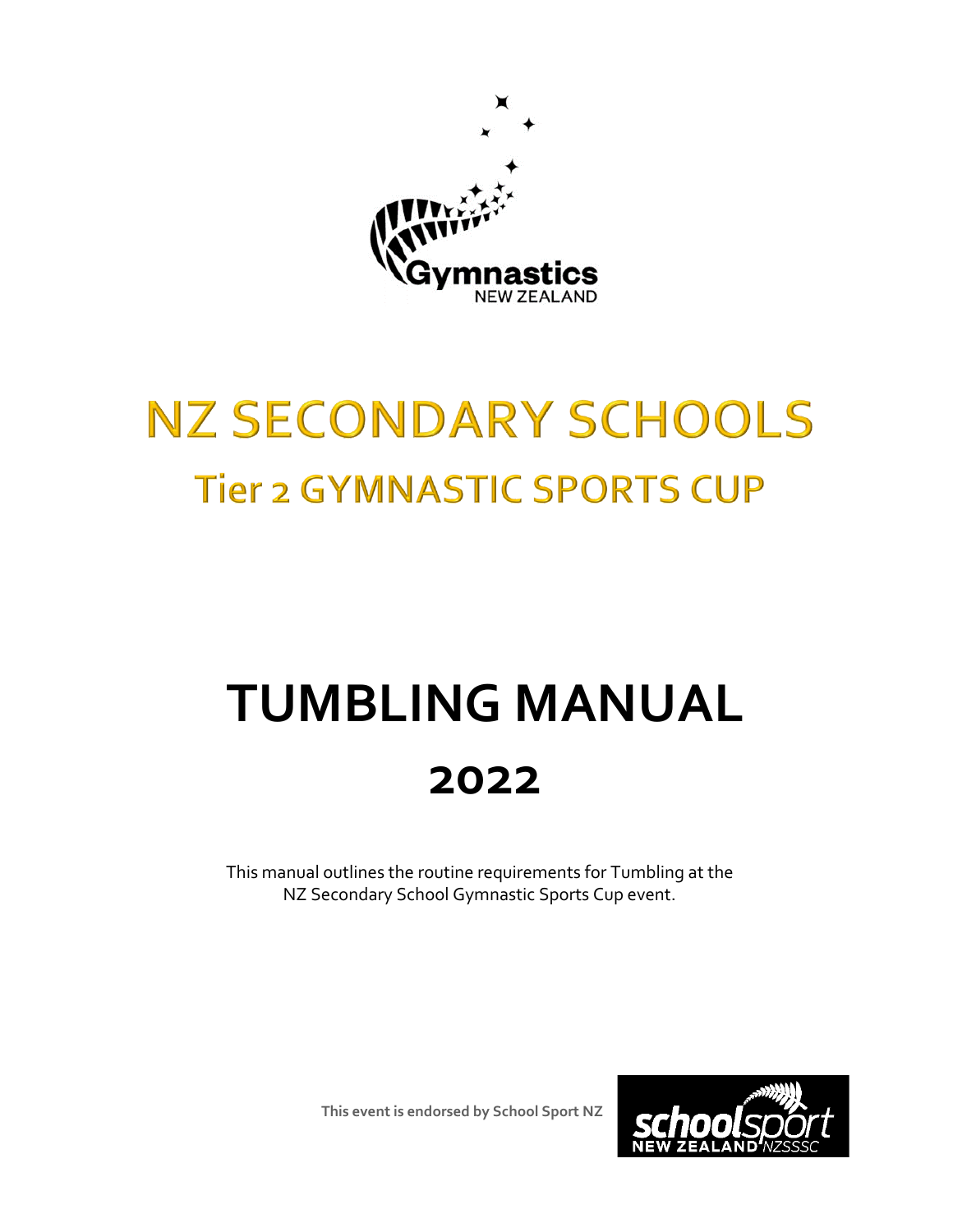

## **NZ SECONDARY SCHOOLS Tier 2 GYMNASTIC SPORTS CUP**

# **TUMBLING MANUAL 2022**

This manual outlines the routine requirements for Tumbling at the NZ Secondary School Gymnastic Sports Cup event.

**This event is endorsed by School Sport NZ**

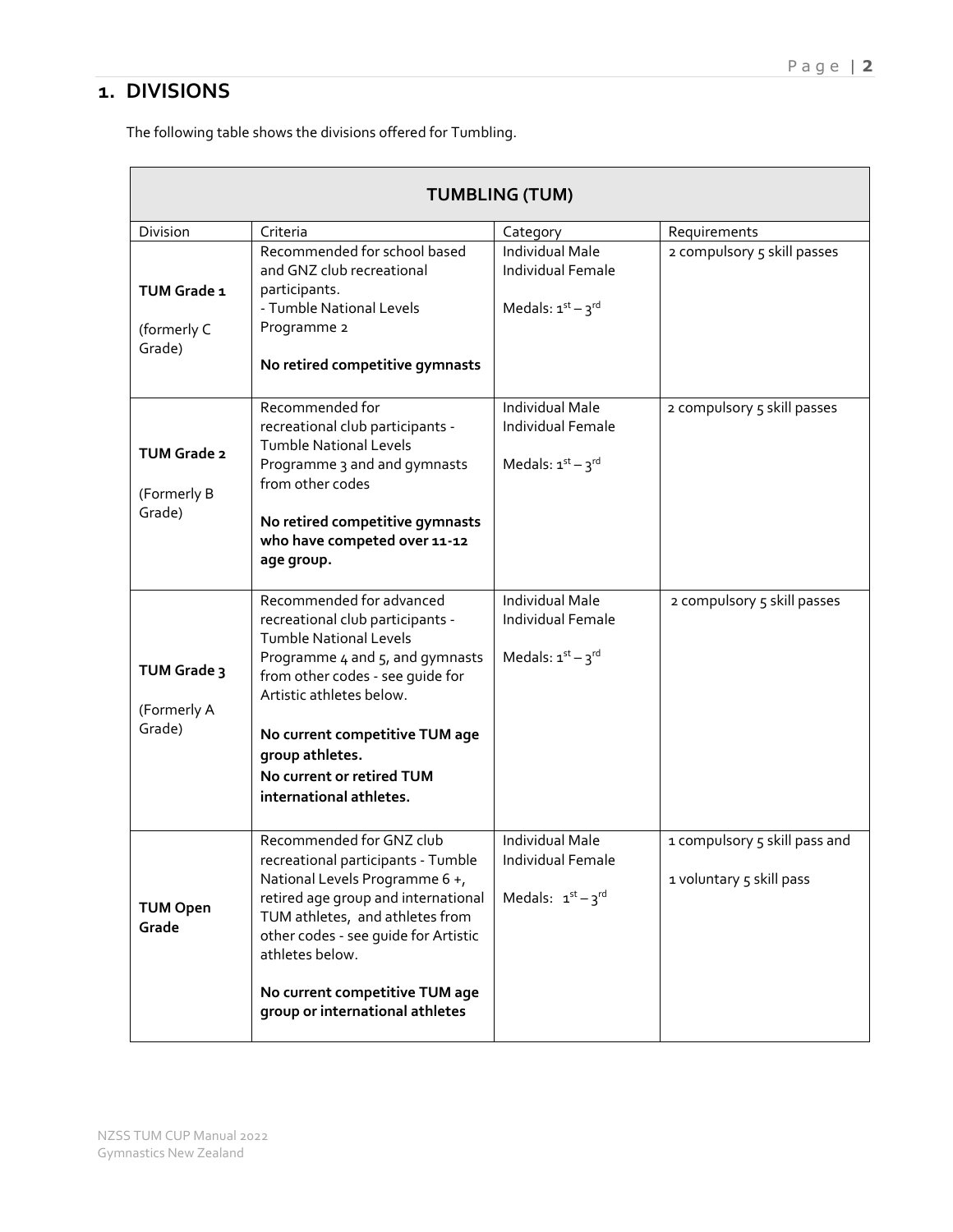## **1. DIVISIONS**

The following table shows the divisions offered for Tumbling.

| <b>TUMBLING (TUM)</b>                       |                                                                                                                                                                                                                                                                                                               |                                                                          |                                                           |  |
|---------------------------------------------|---------------------------------------------------------------------------------------------------------------------------------------------------------------------------------------------------------------------------------------------------------------------------------------------------------------|--------------------------------------------------------------------------|-----------------------------------------------------------|--|
| Division                                    | Criteria                                                                                                                                                                                                                                                                                                      | Category                                                                 | Requirements                                              |  |
| TUM Grade 1<br>(formerly C<br>Grade)        | Recommended for school based<br>and GNZ club recreational<br>participants.<br>- Tumble National Levels<br>Programme 2<br>No retired competitive gymnasts                                                                                                                                                      | <b>Individual Male</b><br>Individual Female<br>Medals: $1^{st} - 3^{rd}$ | 2 compulsory 5 skill passes                               |  |
| <b>TUM Grade 2</b><br>(Formerly B<br>Grade) | Recommended for<br>recreational club participants -<br><b>Tumble National Levels</b><br>Programme 3 and and gymnasts<br>from other codes<br>No retired competitive gymnasts<br>who have competed over 11-12<br>age group.                                                                                     | <b>Individual Male</b><br>Individual Female<br>Medals: $1^{st} - 3^{rd}$ | 2 compulsory 5 skill passes                               |  |
| TUM Grade 3<br>(Formerly A<br>Grade)        | Recommended for advanced<br>recreational club participants -<br><b>Tumble National Levels</b><br>Programme 4 and 5, and gymnasts<br>from other codes - see quide for<br>Artistic athletes below.<br>No current competitive TUM age<br>group athletes.<br>No current or retired TUM<br>international athletes. | Individual Male<br>Individual Female<br>Medals: $1^{st} - 3^{rd}$        | 2 compulsory 5 skill passes                               |  |
| <b>TUM Open</b><br>Grade                    | Recommended for GNZ club<br>recreational participants - Tumble<br>National Levels Programme 6+,<br>retired age group and international<br>TUM athletes, and athletes from<br>other codes - see guide for Artistic<br>athletes below.<br>No current competitive TUM age<br>group or international athletes     | Individual Male<br>Individual Female<br>Medals: $1^{st} - 3^{rd}$        | 1 compulsory 5 skill pass and<br>1 voluntary 5 skill pass |  |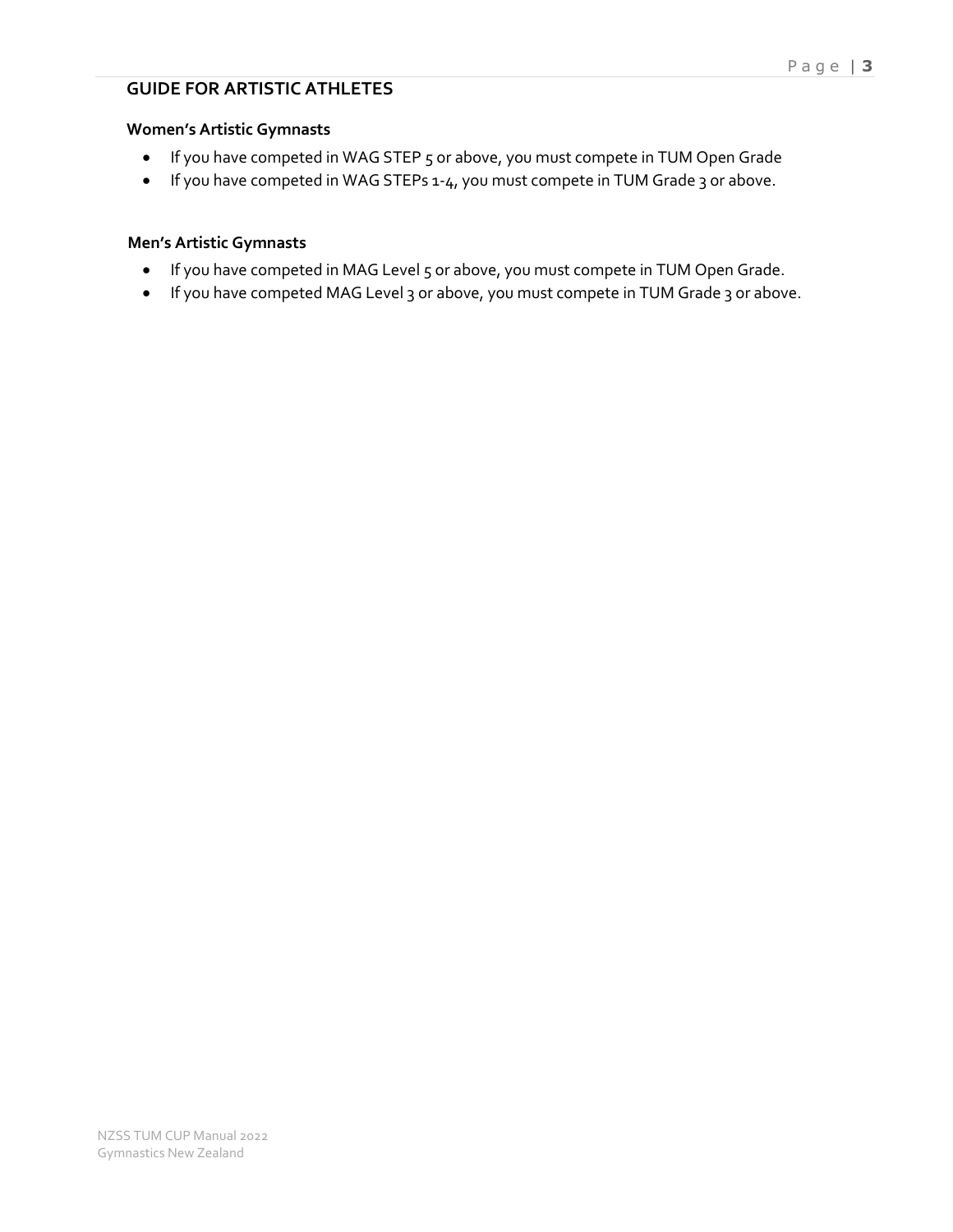### **GUIDE FOR ARTISTIC ATHLETES**

#### **Women's Artistic Gymnasts**

- If you have competed in WAG STEP 5 or above, you must compete in TUM Open Grade
- If you have competed in WAG STEPs 1-4, you must compete in TUM Grade 3 or above.

#### **Men's Artistic Gymnasts**

- If you have competed in MAG Level 5 or above, you must compete in TUM Open Grade.
- If you have competed MAG Level 3 or above, you must compete in TUM Grade 3 or above.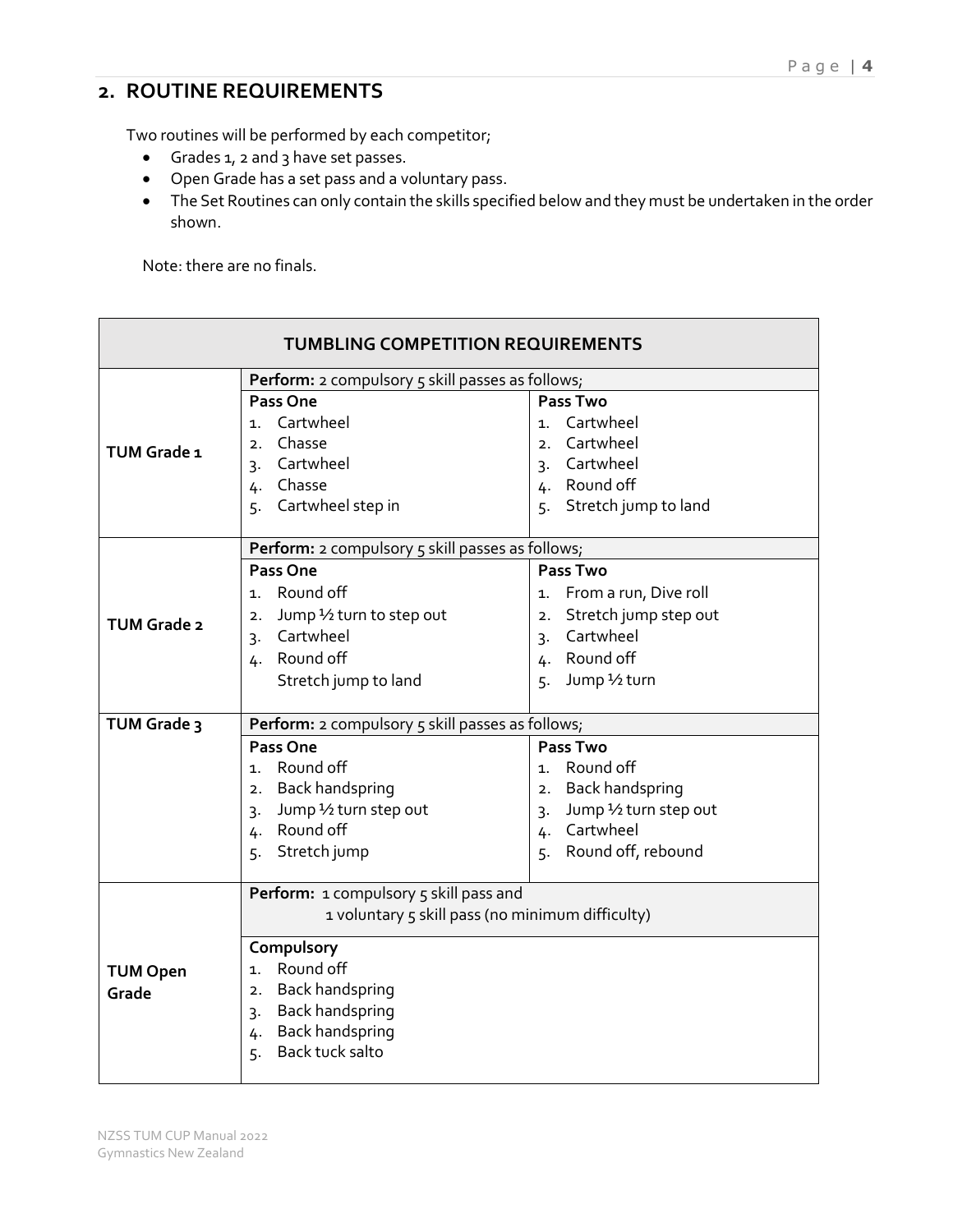## **2. ROUTINE REQUIREMENTS**

Two routines will be performed by each competitor;

- Grades 1, 2 and 3 have set passes.
- Open Grade has a set pass and a voluntary pass.
- The Set Routines can only contain the skills specified below and they must be undertaken in the order shown.

Note: there are no finals.

| <b>TUMBLING COMPETITION REQUIREMENTS</b>                |                                                  |                                            |  |  |  |
|---------------------------------------------------------|--------------------------------------------------|--------------------------------------------|--|--|--|
| <b>Perform:</b> 2 compulsory 5 skill passes as follows; |                                                  |                                            |  |  |  |
|                                                         | <b>Pass One</b>                                  | <b>Pass Two</b>                            |  |  |  |
|                                                         | Cartwheel<br>1.                                  | 1. Cartwheel                               |  |  |  |
| TUM Grade 1                                             | Chasse<br>2.                                     | 2. Cartwheel                               |  |  |  |
|                                                         | Cartwheel<br>$\overline{3}$ .                    | 3. Cartwheel                               |  |  |  |
|                                                         | 4. Chasse                                        | 4. Round off                               |  |  |  |
|                                                         | Cartwheel step in<br>5.                          | Stretch jump to land<br>5.                 |  |  |  |
|                                                         | Perform: 2 compulsory 5 skill passes as follows; |                                            |  |  |  |
|                                                         | Pass One                                         | Pass Two                                   |  |  |  |
|                                                         | 1. Round off                                     | 1. From a run, Dive roll                   |  |  |  |
| TUM Grade 2                                             | Jump 1/2 turn to step out<br>2.                  | Stretch jump step out<br>2.                |  |  |  |
|                                                         | Cartwheel<br>3.                                  | Cartwheel<br>3.                            |  |  |  |
|                                                         | 4. Round off                                     | 4. Round off                               |  |  |  |
|                                                         | Stretch jump to land                             | Jump 1/2 turn<br>5.                        |  |  |  |
| TUM Grade 3                                             | Perform: 2 compulsory 5 skill passes as follows; |                                            |  |  |  |
|                                                         | Pass One                                         | <b>Pass Two</b>                            |  |  |  |
|                                                         | 1. Round off                                     | 1. Round off                               |  |  |  |
|                                                         | 2. Back handspring                               | 2. Back handspring                         |  |  |  |
|                                                         | 3. Jump 1/2 turn step out                        | Jump 1/2 turn step out<br>$\overline{3}$ . |  |  |  |
|                                                         | 4. Round off                                     | 4. Cartwheel                               |  |  |  |
|                                                         | Stretch jump<br>5.                               | Round off, rebound<br>5.                   |  |  |  |
|                                                         | Perform: 1 compulsory 5 skill pass and           |                                            |  |  |  |
| 1 voluntary 5 skill pass (no minimum difficulty)        |                                                  |                                            |  |  |  |
|                                                         | Compulsory                                       |                                            |  |  |  |
| <b>TUM Open</b>                                         | 1. Round off                                     |                                            |  |  |  |
| Grade                                                   | 2. Back handspring                               |                                            |  |  |  |
|                                                         | 3. Back handspring                               |                                            |  |  |  |
|                                                         | 4. Back handspring                               |                                            |  |  |  |
|                                                         | Back tuck salto<br>5.                            |                                            |  |  |  |
|                                                         |                                                  |                                            |  |  |  |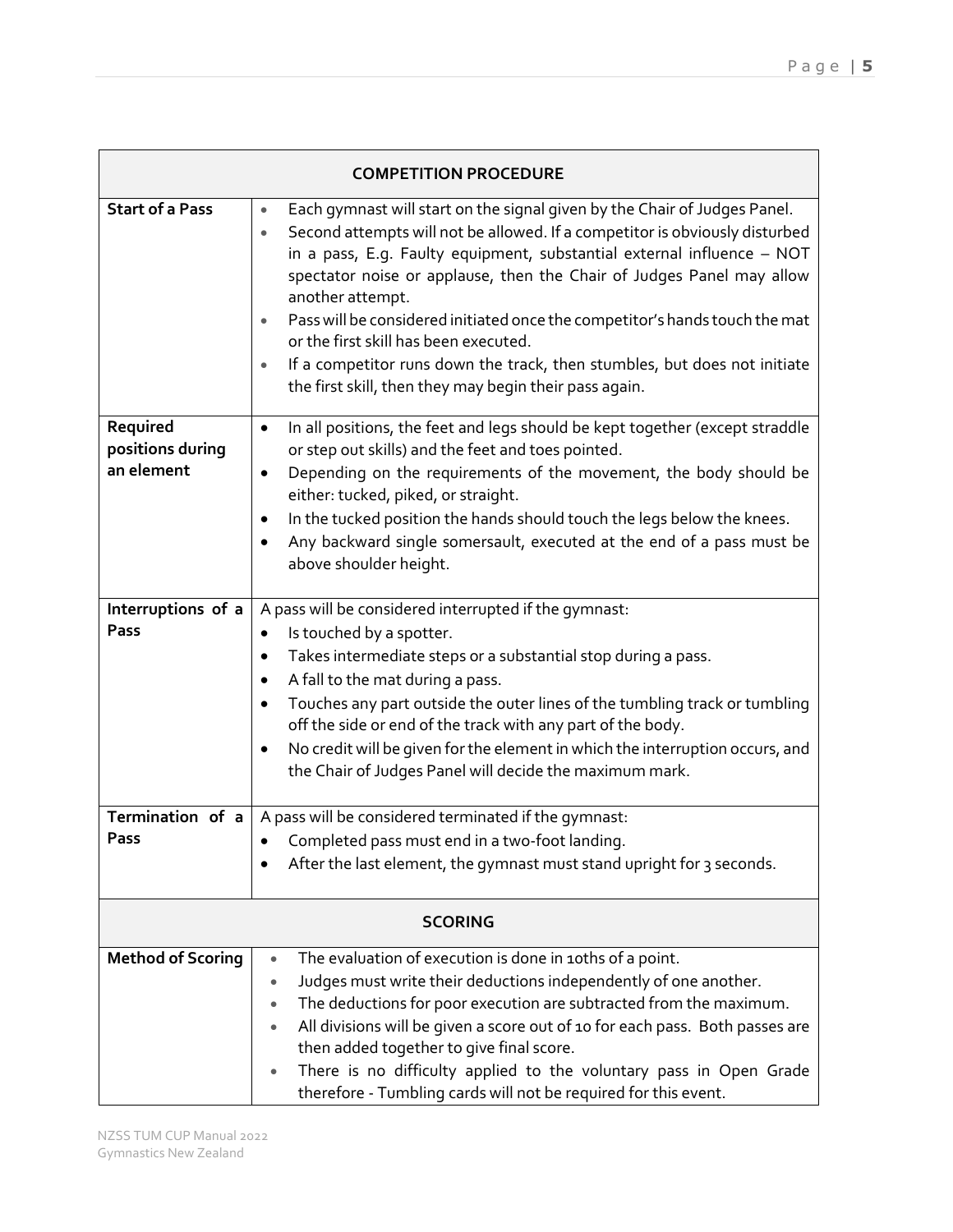| <b>COMPETITION PROCEDURE</b>   |                                                                                                                                                                                                                                                                                                                                                                                                                                                                                                                                                                                                                                                    |  |
|--------------------------------|----------------------------------------------------------------------------------------------------------------------------------------------------------------------------------------------------------------------------------------------------------------------------------------------------------------------------------------------------------------------------------------------------------------------------------------------------------------------------------------------------------------------------------------------------------------------------------------------------------------------------------------------------|--|
| <b>Start of a Pass</b>         | Each gymnast will start on the signal given by the Chair of Judges Panel.<br>$\bullet$<br>Second attempts will not be allowed. If a competitor is obviously disturbed<br>$\bullet$<br>in a pass, E.g. Faulty equipment, substantial external influence - NOT<br>spectator noise or applause, then the Chair of Judges Panel may allow<br>another attempt.<br>Pass will be considered initiated once the competitor's hands touch the mat<br>$\bullet$<br>or the first skill has been executed.<br>If a competitor runs down the track, then stumbles, but does not initiate<br>$\bullet$<br>the first skill, then they may begin their pass again. |  |
| Required                       | In all positions, the feet and legs should be kept together (except straddle<br>$\bullet$                                                                                                                                                                                                                                                                                                                                                                                                                                                                                                                                                          |  |
| positions during<br>an element | or step out skills) and the feet and toes pointed.<br>Depending on the requirements of the movement, the body should be<br>$\bullet$<br>either: tucked, piked, or straight.                                                                                                                                                                                                                                                                                                                                                                                                                                                                        |  |
|                                | In the tucked position the hands should touch the legs below the knees.<br>Any backward single somersault, executed at the end of a pass must be<br>above shoulder height.                                                                                                                                                                                                                                                                                                                                                                                                                                                                         |  |
| Interruptions of a             | A pass will be considered interrupted if the gymnast:                                                                                                                                                                                                                                                                                                                                                                                                                                                                                                                                                                                              |  |
| Pass                           | Is touched by a spotter.<br>٠                                                                                                                                                                                                                                                                                                                                                                                                                                                                                                                                                                                                                      |  |
|                                | Takes intermediate steps or a substantial stop during a pass.<br>$\bullet$<br>A fall to the mat during a pass.<br>٠                                                                                                                                                                                                                                                                                                                                                                                                                                                                                                                                |  |
|                                | Touches any part outside the outer lines of the tumbling track or tumbling<br>$\bullet$<br>off the side or end of the track with any part of the body.                                                                                                                                                                                                                                                                                                                                                                                                                                                                                             |  |
|                                | No credit will be given for the element in which the interruption occurs, and<br>$\bullet$<br>the Chair of Judges Panel will decide the maximum mark.                                                                                                                                                                                                                                                                                                                                                                                                                                                                                              |  |
| Termination of a               | A pass will be considered terminated if the gymnast:                                                                                                                                                                                                                                                                                                                                                                                                                                                                                                                                                                                               |  |
| Pass                           | Completed pass must end in a two-foot landing.                                                                                                                                                                                                                                                                                                                                                                                                                                                                                                                                                                                                     |  |
|                                | After the last element, the gymnast must stand upright for 3 seconds.                                                                                                                                                                                                                                                                                                                                                                                                                                                                                                                                                                              |  |
| <b>SCORING</b>                 |                                                                                                                                                                                                                                                                                                                                                                                                                                                                                                                                                                                                                                                    |  |
| <b>Method of Scoring</b>       | The evaluation of execution is done in 10ths of a point.<br>$\bullet$                                                                                                                                                                                                                                                                                                                                                                                                                                                                                                                                                                              |  |
|                                | Judges must write their deductions independently of one another.<br>$\bullet$                                                                                                                                                                                                                                                                                                                                                                                                                                                                                                                                                                      |  |
|                                | The deductions for poor execution are subtracted from the maximum.<br>All divisions will be given a score out of 10 for each pass. Both passes are<br>then added together to give final score.                                                                                                                                                                                                                                                                                                                                                                                                                                                     |  |
|                                | There is no difficulty applied to the voluntary pass in Open Grade<br>therefore - Tumbling cards will not be required for this event.                                                                                                                                                                                                                                                                                                                                                                                                                                                                                                              |  |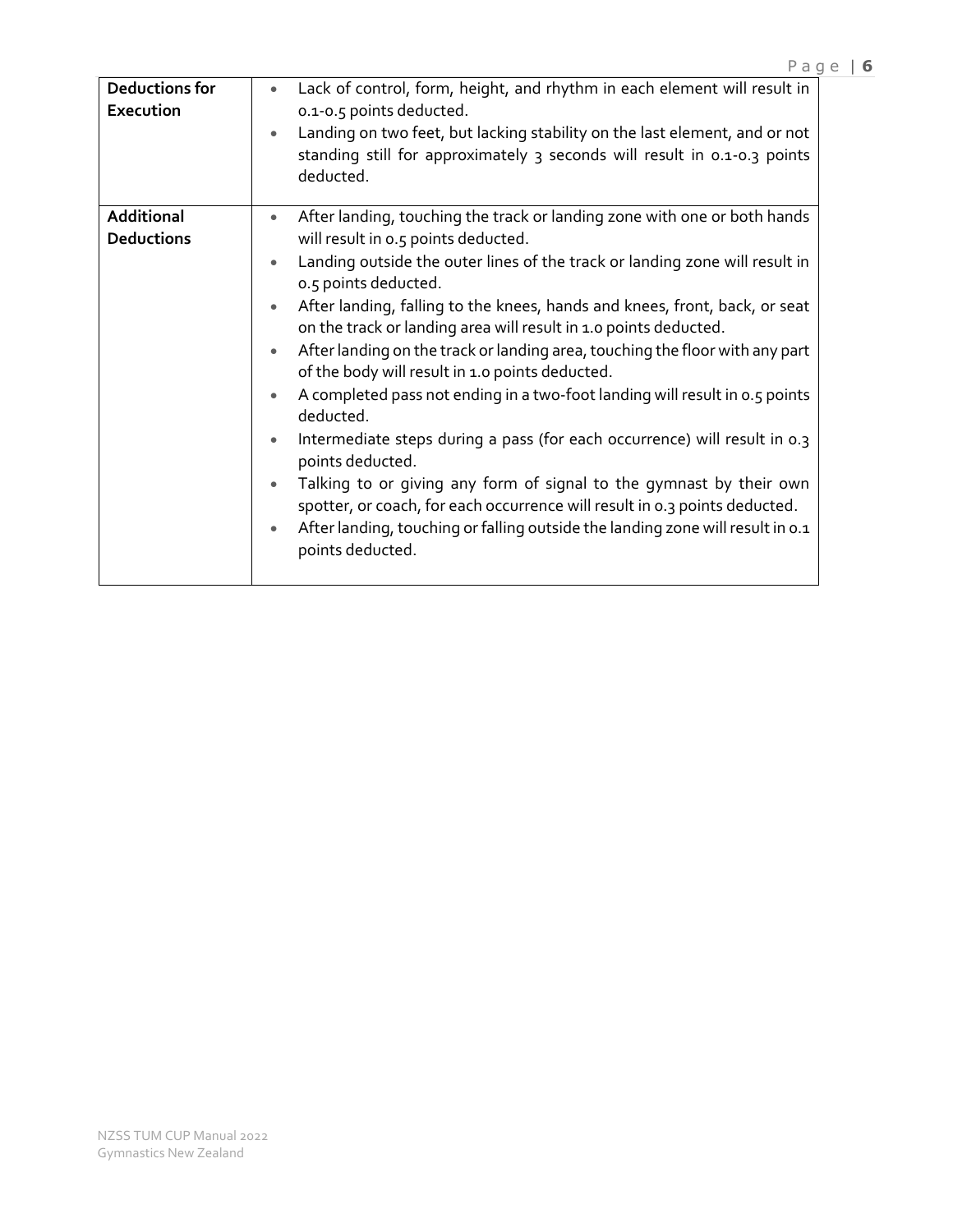| <b>Deductions for</b><br>Execution | Lack of control, form, height, and rhythm in each element will result in<br>$\bullet$<br>0.1-0.5 points deducted.<br>Landing on two feet, but lacking stability on the last element, and or not<br>standing still for approximately 3 seconds will result in 0.1-0.3 points<br>deducted.                                                                                                                                                                                                                                                                                                                                                                                                                                                                                                                                                                                                                                                                                                                                                                                    |
|------------------------------------|-----------------------------------------------------------------------------------------------------------------------------------------------------------------------------------------------------------------------------------------------------------------------------------------------------------------------------------------------------------------------------------------------------------------------------------------------------------------------------------------------------------------------------------------------------------------------------------------------------------------------------------------------------------------------------------------------------------------------------------------------------------------------------------------------------------------------------------------------------------------------------------------------------------------------------------------------------------------------------------------------------------------------------------------------------------------------------|
| Additional<br><b>Deductions</b>    | After landing, touching the track or landing zone with one or both hands<br>$\bullet$<br>will result in 0.5 points deducted.<br>Landing outside the outer lines of the track or landing zone will result in<br>$\bullet$<br>0.5 points deducted.<br>After landing, falling to the knees, hands and knees, front, back, or seat<br>$\bullet$<br>on the track or landing area will result in 1.0 points deducted.<br>After landing on the track or landing area, touching the floor with any part<br>$\bullet$<br>of the body will result in 1.0 points deducted.<br>A completed pass not ending in a two-foot landing will result in 0.5 points<br>$\bullet$<br>deducted.<br>Intermediate steps during a pass (for each occurrence) will result in 0.3<br>$\bullet$<br>points deducted.<br>Talking to or giving any form of signal to the gymnast by their own<br>$\bullet$<br>spotter, or coach, for each occurrence will result in 0.3 points deducted.<br>After landing, touching or falling outside the landing zone will result in 0.1<br>$\bullet$<br>points deducted. |